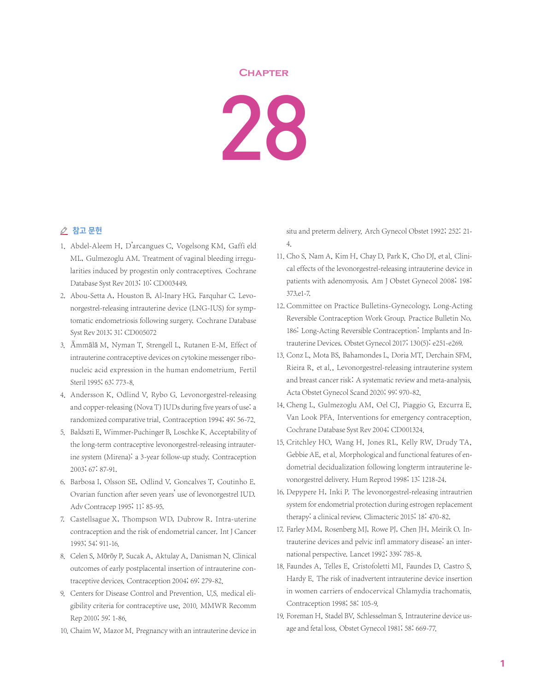## **Chapter**

28

## △ 참고 문헌

- 1. Abdel-Aleem H, D'arcangues C, Vogelsong KM, Gaffi eld ML, Gulmezoglu AM. Treatment of vaginal bleeding irregularities induced by progestin only contraceptives. Cochrane Database Syst Rev 2013; 10: CD003449.
- 2. Abou-Setta A, Houston B, Al-Inary HG, Farquhar C. Levonorgestrel-releasing intrauterine device (LNG-IUS) for symptomatic endometriosis following surgery. Cochrane Database Syst Rev 2013; 31: CD005072
- 3. Ämmälä M, Nyman T, Strengell L, Rutanen E-M. Effect of intrauterine contraceptive devices on cytokine messenger ribonucleic acid expression in the human endometrium. Fertil Steril 1995; 63: 773-8.
- 4. Andersson K, Odlind V, Rybo G. Levonorgestrel-releasing and copper-releasing (Nova T) IUDs during five years of use: a randomized comparative trial. Contraception 1994; 49: 56-72.
- 5. Baldszti E, Wimmer-Puchinger B, Loschke K. Acceptability of the long-term contraceptive levonorgestrel-releasing intrauterine system (Mirena): a 3-year follow-up study. Contraception 2003; 67: 87-91.
- 6. Barbosa I, Olsson SE, Odlind V, Goncalves T, Coutinho E. Ovarian function after seven years' use of levonorgestrel IUD. Adv Contracep 1995; 11: 85-95.
- 7. Castellsague X, Thompson WD, Dubrow R. Intra-uterine contraception and the risk of endometrial cancer. Int J Cancer 1993; 54: 911-16.
- 8. Celen S, Möröy P, Sucak A, Aktulay A, Danisman N. Clinical outcomes of early postplacental insertion of intrauterine contraceptive devices. Contraception 2004; 69: 279-82.
- 9. Centers for Disease Control and Prevention. U.S. medical eligibility criteria for contraceptive use, 2010. MMWR Recomm Rep 2010; 59: 1-86.
- 10. Chaim W, Mazor M. Pregnancy with an intrauterine device in

situ and preterm delivery. Arch Gynecol Obstet 1992; 252: 21- 4.

- 11. Cho S, Nam A, Kim H, Chay D, Park K, Cho DJ, et al. Clinical effects of the levonorgestrel-releasing intrauterine device in patients with adenomyosis. Am J Obstet Gynecol 2008; 198: 373.e1-7.
- 12. Committee on Practice Bulletins-Gynecology, Long-Acting Reversible Contraception Work Group. Practice Bulletin No. 186: Long-Acting Reversible Contraception: Implants and Intrauterine Devices. Obstet Gynecol 2017; 130(5): e251-e269.
- 13. Conz L, Mota BS, Bahamondes L, Doria MT, Derchain SFM, Rieira R, et al., Levonorgestrel-releasing intrauterine system and breast cancer risk: A systematic review and meta-analysis. Acta Obstet Gynecol Scand 2020; 99: 970-82.
- 14. Cheng L, Gulmezoglu AM, Oel CJ, Piaggio G, Ezcurra E, Van Look PFA. Interventions for emergency contraception. Cochrane Database Syst Rev 2004; CD001324.
- 15. Critchley HO, Wang H, Jones RL, Kelly RW, Drudy TA, Gebbie AE, et al. Morphological and functional features of endometrial decidualization following longterm intrauterine levonorgestrel delivery. Hum Reprod 1998; 13: 1218-24.
- 16. Depypere H, Inki P. The levonorgestrel-releasing intrautrien system for endometrial protection during estrogen replacement therapy: a clinical review. Climacteric 2015; 18: 470-82.
- 17. Farley MM, Rosenberg MJ, Rowe PJ, Chen JH, Meirik O. Intrauterine devices and pelvic infl ammatory disease: an international perspective. Lancet 1992; 339: 785-8.
- 18. Faundes A, Telles E, Cristofoletti MI, Faundes D, Castro S, Hardy E. The risk of inadvertent intrauterine device insertion in women carriers of endocervical Chlamydia trachomatis. Contraception 1998; 58: 105-9.
- 19. Foreman H, Stadel BV, Schlesselman S. Intrauterine device usage and fetal loss. Obstet Gynecol 1981; 58: 669-77.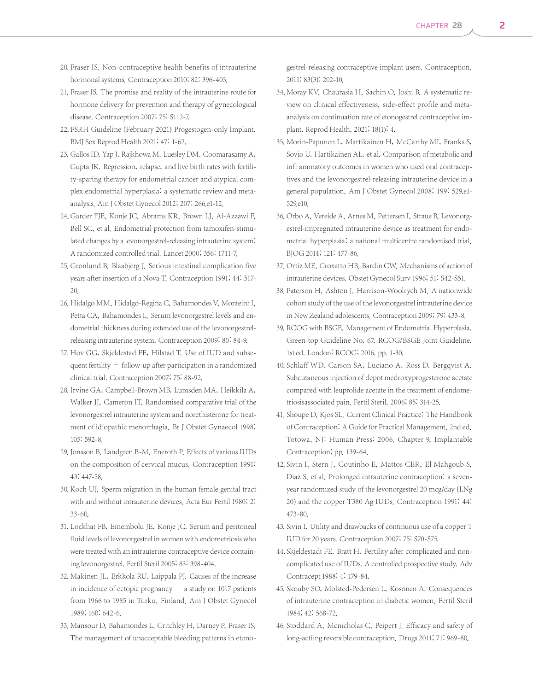- 20. Fraser IS. Non-contraceptive health benefits of intrauterine hormonal systems. Contraception 2010; 82: 396-403.
- 21. Fraser IS. The promise and reality of the intrauterine route for hormone delivery for prevention and therapy of gynecological disease. Contraception 2007; 75: S112-7.
- 22. FSRH Guideline (February 2021) Progestogen-only Implant. BMJ Sex Reprod Health 2021; 47: 1-62.
- 23. Gallos ID, Yap J, Rajkhowa M, Luesley DM, Coomarasamy A, Gupta JK. Regression, relapse, and live birth rates with fertility-sparing therapy for endometrial cancer and atypical complex endometrial hyperplasia: a systematic review and metaanalysis. Am J Obstet Gynecol 2012; 207: 266.e1-12.
- 24. Garder FJE, Konje JC, Abrams KR, Brown LJ, Ai-Azzawi F, Bell SC, et al. Endometrial protection from tamoxifen-stimulated changes by a levonorgestrel-releasing intrauterine system: A randomized controlled trial. Lancet 2000; 356: 1711-7.
- 25. Gronlund B, Blaabjerg J. Serious intestinal complication five years after insertion of a Nova-T. Contraception 1991; 44: 517- 20.
- 26. Hidalgo MM, Hidalgo-Regina C, Bahamondes V, Monteiro I, Petta CA, Bahamondes L. Serum levonorgestrel levels and endometrial thickness during extended use of the levonorgestrelreleasing intrauterine system. Contraception 2009; 80: 84-9.
- 27. Hov GG, Skjeldestad FE, Hilstad T. Use of IUD and subsequent fertility – follow-up after participation in a randomized clinical trial. Contraception 2007; 75: 88-92.
- 28. Irvine GA, Campbell-Brown MB, Lumsden MA, Heikkila A, Walker JJ, Cameron IT. Randomised comparative trial of the levonorgestrel intrauterine system and norethisterone for treatment of idiopathic menorrhagia. Br J Obstet Gynaecol 1998; 105: 592-8.
- 29. Jonsson B, Landgren B-M, Eneroth P. Effects of various IUDs on the composition of cervical mucus. Contraception 1991; 43: 447-58.
- 30. Koch UJ. Sperm migration in the human female genital tract with and without intrauterine devices. Acta Eur Fertil 1980; 2: 33-60.
- 31. Lockhat FB, Emembolu JE, Konje JC. Serum and peritoneal fluid levels of levonorgestrel in women with endometriosis who were treated with an intrauterine contraceptive device containing levonorgestrel. Fertil Steril 2005; 83: 398-404.
- 32. Makinen JL, Erkkola RU, Laippala PJ. Causes of the increase in incidence of ectopic pregnancy – a study on 1017 patients from 1966 to 1985 in Turku, Finland. Am J Obstet Gynecol 1989; 160: 642-6.
- 33. Mansour D, Bahamondes L, Critchley H, Darney P, Fraser IS. The management of unacceptable bleeding patterns in etono-

gestrel-releasing contraceptive implant users. Contraception. 2011; 83(3): 202-10.

- 34. Moray KV, Chaurasia H, Sachin O, Joshi B. A systematic review on clinical effectiveness, side-effect profile and metaanalysis on continuation rate of etonogestrel contraceptive implant. Reprod Health. 2021; 18(1): 4.
- 35. Morin-Papunen L, Martikainen H, McCarthy MI, Franks S, Sovio U, Hartikainen AL, et al. Comparison of metabolic and infl ammatory outcomes in women who used oral contraceptives and the levonorgestrel-releasing intrauterine device in a general population. Am J Obstet Gynecol 2008; 199: 529.e1- 529.e10.
- 36. Orbo A, Vereide A, Arnes M, Pettersen I, Straue B. Levonorgestrel-impregnated intrauterine device as treatment for endometrial hyperplasia: a national multicentre randomised trial. BJOG 2014; 121: 477-86.
- 37. Ortiz ME, Croxatto HB, Bardin CW. Mechanisms of action of intrauterine devices. Obstet Gynecol Surv 1996; 51: S42-S51.
- 38. Paterson H, Ashton J, Harrison-Woolrych M, A nationwide cohort study of the use of the levonorgestrel intrauterine device in New Zealand adolescents. Contraception 2009; 79: 433-8.
- 39. RCOG with BSGE. Management of Endometrial Hyperplasia. Green-top Guideline No. 67. RCOG/BSGE Joint Guideline. 1st ed. London: RCOG; 2016. pp. 1-30.
- 40. Schlaff WD, Carson SA, Luciano A, Ross D, Bergqvist A. Subcutaneous injection of depot medroxyprogesterone acetate compared with leuprolide acetate in the treatment of endometriosisassociated pain. Fertil Steril. 2006; 85: 314-25.
- 41. Shoupe D, Kjos SL. Current Clinical Practice: The Handbook of Contraception: A Guide for Practical Management. 2nd ed. Totowa, NJ: Human Press; 2006. Chapter 9, Implantable Contraception; pp. 139-64.
- 42. Sivin I, Stern J, Coutinho E, Mattos CER, El Mahgoub S, Diaz S, et al. Prolonged intrauterine contraception: a sevenyear randomized study of the levonorgestrel 20 mcg/day (LNg 20) and the copper T380 Ag IUDs. Contraception 1991; 44: 473-80.
- 43. Sivin I. Utility and drawbacks of continuous use of a copper T IUD for 20 years. Contraception 2007; 75: S70-S75.
- 44. Skjeldestadt FE, Bratt H. Fertility after complicated and noncomplicated use of IUDs. A controlled prospective study. Adv Contracept 1988; 4: 179-84.
- 45. Skouby SO, Molsted-Pedersen L, Kosonen A. Consequences of intrauterine contraception in diabetic women. Fertil Steril 1984; 42: 568-72.
- 46. Stoddard A, Mcnicholas C, Peipert J. Efficacy and safety of long-actiing reversible contraception. Drugs 2011; 71: 969-80.